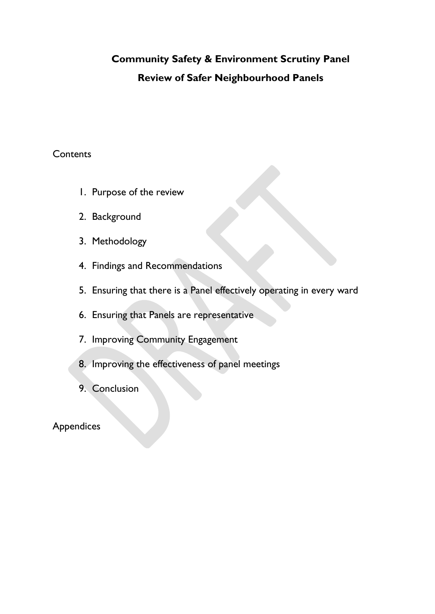# **Community Safety & Environment Scrutiny Panel Review of Safer Neighbourhood Panels**

### **Contents**

- 1. Purpose of the review
- 2. Background
- 3. Methodology
- 4. Findings and Recommendations
- 5. Ensuring that there is a Panel effectively operating in every ward
- 6. Ensuring that Panels are representative
- 7. Improving Community Engagement
- 8. Improving the effectiveness of panel meetings
- 9. Conclusion

# Appendices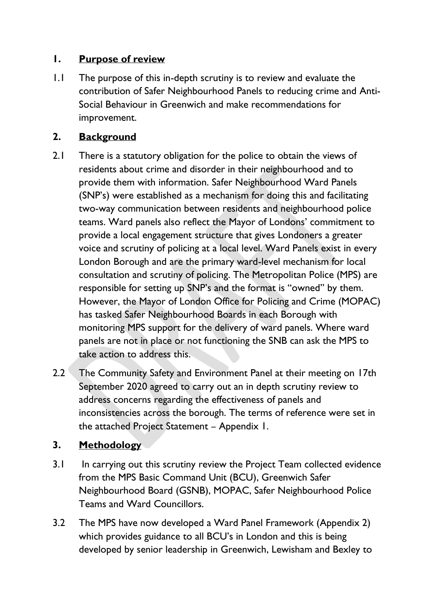# **1. Purpose of review**

1.1 The purpose of this in-depth scrutiny is to review and evaluate the contribution of Safer Neighbourhood Panels to reducing crime and Anti-Social Behaviour in Greenwich and make recommendations for improvement.

# **2. Background**

- 2.1 There is a statutory obligation for the police to obtain the views of residents about crime and disorder in their neighbourhood and to provide them with information. Safer Neighbourhood Ward Panels (SNP's) were established as a mechanism for doing this and facilitating two-way communication between residents and neighbourhood police teams. Ward panels also reflect the Mayor of Londons' commitment to provide a local engagement structure that gives Londoners a greater voice and scrutiny of policing at a local level. Ward Panels exist in every London Borough and are the primary ward-level mechanism for local consultation and scrutiny of policing. The Metropolitan Police (MPS) are responsible for setting up SNP's and the format is "owned" by them. However, the Mayor of London Office for Policing and Crime (MOPAC) has tasked Safer Neighbourhood Boards in each Borough with monitoring MPS support for the delivery of ward panels. Where ward panels are not in place or not functioning the SNB can ask the MPS to take action to address this.
- 2.2 The Community Safety and Environment Panel at their meeting on 17th September 2020 agreed to carry out an in depth scrutiny review to address concerns regarding the effectiveness of panels and inconsistencies across the borough. The terms of reference were set in the attached Project Statement – Appendix 1.

# **3. Methodology**

- 3.1 In carrying out this scrutiny review the Project Team collected evidence from the MPS Basic Command Unit (BCU), Greenwich Safer Neighbourhood Board (GSNB), MOPAC, Safer Neighbourhood Police Teams and Ward Councillors.
- 3.2 The MPS have now developed a Ward Panel Framework (Appendix 2) which provides guidance to all BCU's in London and this is being developed by senior leadership in Greenwich, Lewisham and Bexley to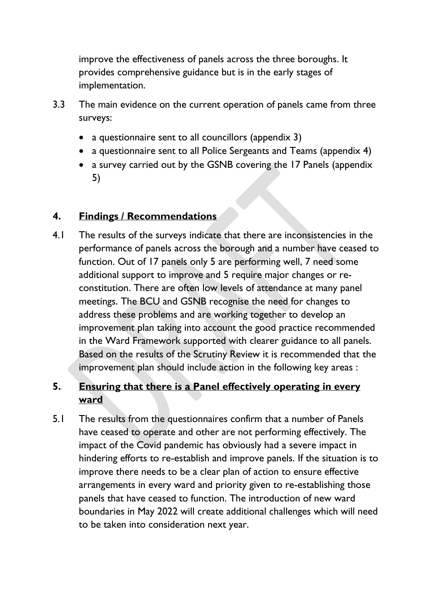improve the effectiveness of panels across the three boroughs. It provides comprehensive guidance but is in the early stages of implementation.

- 3.3 The main evidence on the current operation of panels came from three surveys:
	- a questionnaire sent to all councillors (appendix 3)
	- a questionnaire sent to all Police Sergeants and Teams (appendix 4)
	- a survey carried out by the GSNB covering the 17 Panels (appendix 5)

# **4. Findings / Recommendations**

4.1 The results of the surveys indicate that there are inconsistencies in the performance of panels across the borough and a number have ceased to function. Out of 17 panels only 5 are performing well, 7 need some additional support to improve and 5 require major changes or reconstitution. There are often low levels of attendance at many panel meetings. The BCU and GSNB recognise the need for changes to address these problems and are working together to develop an improvement plan taking into account the good practice recommended in the Ward Framework supported with clearer guidance to all panels. Based on the results of the Scrutiny Review it is recommended that the improvement plan should include action in the following key areas :

# **5. Ensuring that there is a Panel effectively operating in every ward**

5.1 The results from the questionnaires confirm that a number of Panels have ceased to operate and other are not performing effectively. The impact of the Covid pandemic has obviously had a severe impact in hindering efforts to re-establish and improve panels. If the situation is to improve there needs to be a clear plan of action to ensure effective arrangements in every ward and priority given to re-establishing those panels that have ceased to function. The introduction of new ward boundaries in May 2022 will create additional challenges which will need to be taken into consideration next year.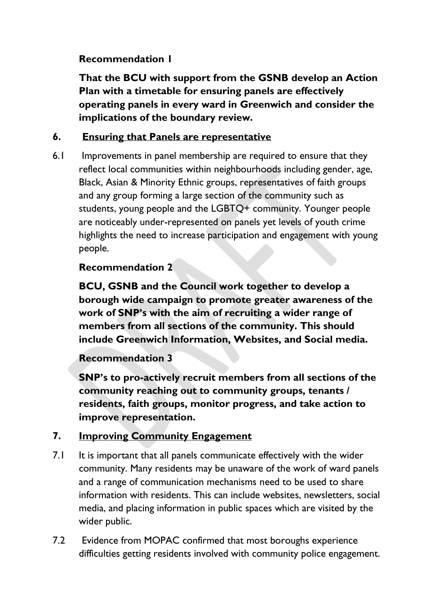# **Recommendation 1**

**That the BCU with support from the GSNB develop an Action Plan with a timetable for ensuring panels are effectively operating panels in every ward in Greenwich and consider the implications of the boundary review.** 

# **6. Ensuring that Panels are representative**

6.1 Improvements in panel membership are required to ensure that they reflect local communities within neighbourhoods including gender, age, Black, Asian & Minority Ethnic groups, representatives of faith groups and any group forming a large section of the community such as students, young people and the LGBTQ+ community. Younger people are noticeably under-represented on panels yet levels of youth crime highlights the need to increase participation and engagement with young people.

# **Recommendation 2**

**BCU, GSNB and the Council work together to develop a borough wide campaign to promote greater awareness of the work of SNP's with the aim of recruiting a wider range of members from all sections of the community. This should include Greenwich Information, Websites, and Social media.** 

# **Recommendation 3**

**SNP's to pro-actively recruit members from all sections of the community reaching out to community groups, tenants / residents, faith groups, monitor progress, and take action to improve representation.** 

# **7. Improving Community Engagement**

- 7.1 It is important that all panels communicate effectively with the wider community. Many residents may be unaware of the work of ward panels and a range of communication mechanisms need to be used to share information with residents. This can include websites, newsletters, social media, and placing information in public spaces which are visited by the wider public.
- 7.2 Evidence from MOPAC confirmed that most boroughs experience difficulties getting residents involved with community police engagement.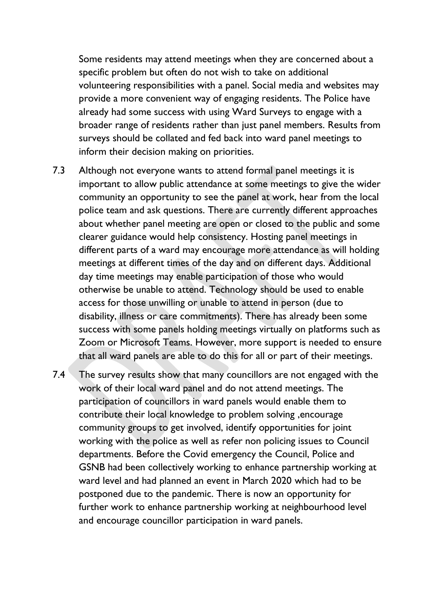Some residents may attend meetings when they are concerned about a specific problem but often do not wish to take on additional volunteering responsibilities with a panel. Social media and websites may provide a more convenient way of engaging residents. The Police have already had some success with using Ward Surveys to engage with a broader range of residents rather than just panel members. Results from surveys should be collated and fed back into ward panel meetings to inform their decision making on priorities.

- 7.3 Although not everyone wants to attend formal panel meetings it is important to allow public attendance at some meetings to give the wider community an opportunity to see the panel at work, hear from the local police team and ask questions. There are currently different approaches about whether panel meeting are open or closed to the public and some clearer guidance would help consistency. Hosting panel meetings in different parts of a ward may encourage more attendance as will holding meetings at different times of the day and on different days. Additional day time meetings may enable participation of those who would otherwise be unable to attend. Technology should be used to enable access for those unwilling or unable to attend in person (due to disability, illness or care commitments). There has already been some success with some panels holding meetings virtually on platforms such as Zoom or Microsoft Teams. However, more support is needed to ensure that all ward panels are able to do this for all or part of their meetings.
- 7.4 The survey results show that many councillors are not engaged with the work of their local ward panel and do not attend meetings. The participation of councillors in ward panels would enable them to contribute their local knowledge to problem solving ,encourage community groups to get involved, identify opportunities for joint working with the police as well as refer non policing issues to Council departments. Before the Covid emergency the Council, Police and GSNB had been collectively working to enhance partnership working at ward level and had planned an event in March 2020 which had to be postponed due to the pandemic. There is now an opportunity for further work to enhance partnership working at neighbourhood level and encourage councillor participation in ward panels.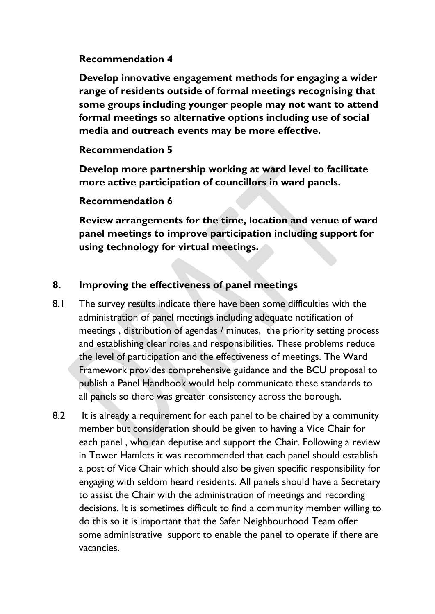### **Recommendation 4**

**Develop innovative engagement methods for engaging a wider range of residents outside of formal meetings recognising that some groups including younger people may not want to attend formal meetings so alternative options including use of social media and outreach events may be more effective.** 

# **Recommendation 5**

**Develop more partnership working at ward level to facilitate more active participation of councillors in ward panels.** 

# **Recommendation 6**

**Review arrangements for the time, location and venue of ward panel meetings to improve participation including support for using technology for virtual meetings.** 

# **8. Improving the effectiveness of panel meetings**

- 8.1 The survey results indicate there have been some difficulties with the administration of panel meetings including adequate notification of meetings , distribution of agendas / minutes, the priority setting process and establishing clear roles and responsibilities. These problems reduce the level of participation and the effectiveness of meetings. The Ward Framework provides comprehensive guidance and the BCU proposal to publish a Panel Handbook would help communicate these standards to all panels so there was greater consistency across the borough.
- 8.2 It is already a requirement for each panel to be chaired by a community member but consideration should be given to having a Vice Chair for each panel , who can deputise and support the Chair. Following a review in Tower Hamlets it was recommended that each panel should establish a post of Vice Chair which should also be given specific responsibility for engaging with seldom heard residents. All panels should have a Secretary to assist the Chair with the administration of meetings and recording decisions. It is sometimes difficult to find a community member willing to do this so it is important that the Safer Neighbourhood Team offer some administrative support to enable the panel to operate if there are vacancies.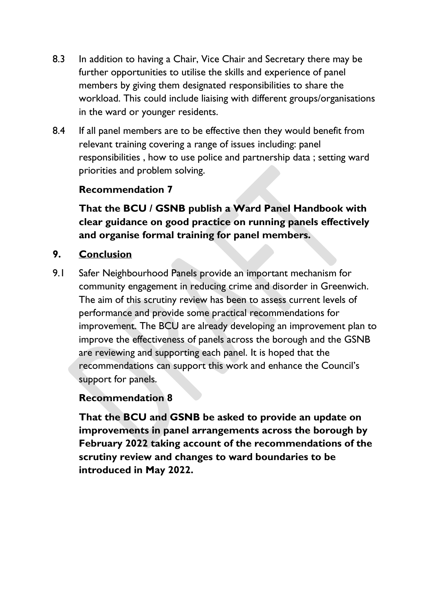- 8.3 In addition to having a Chair, Vice Chair and Secretary there may be further opportunities to utilise the skills and experience of panel members by giving them designated responsibilities to share the workload. This could include liaising with different groups/organisations in the ward or younger residents.
- 8.4 If all panel members are to be effective then they would benefit from relevant training covering a range of issues including: panel responsibilities , how to use police and partnership data ; setting ward priorities and problem solving.

# **Recommendation 7**

**That the BCU / GSNB publish a Ward Panel Handbook with clear guidance on good practice on running panels effectively and organise formal training for panel members.** 

### **9. Conclusion**

9.1 Safer Neighbourhood Panels provide an important mechanism for community engagement in reducing crime and disorder in Greenwich. The aim of this scrutiny review has been to assess current levels of performance and provide some practical recommendations for improvement. The BCU are already developing an improvement plan to improve the effectiveness of panels across the borough and the GSNB are reviewing and supporting each panel. It is hoped that the recommendations can support this work and enhance the Council's support for panels.

### **Recommendation 8**

**That the BCU and GSNB be asked to provide an update on improvements in panel arrangements across the borough by February 2022 taking account of the recommendations of the scrutiny review and changes to ward boundaries to be introduced in May 2022.**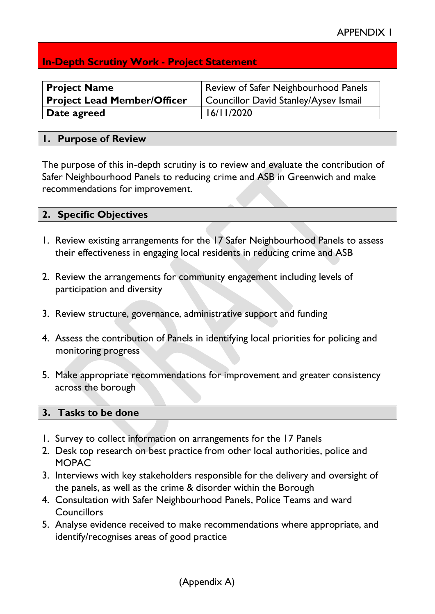# **In-Depth Scrutiny Work - Project Statement**

| <b>Project Name</b>                | Review of Safer Neighbourhood Panels  |
|------------------------------------|---------------------------------------|
| <b>Project Lead Member/Officer</b> | Councillor David Stanley/Aysev Ismail |
| Date agreed                        | 16/11/2020                            |

### **1. Purpose of Review**

The purpose of this in-depth scrutiny is to review and evaluate the contribution of Safer Neighbourhood Panels to reducing crime and ASB in Greenwich and make recommendations for improvement.

| 2. Specific Objectives |
|------------------------|
|------------------------|

- 1. Review existing arrangements for the 17 Safer Neighbourhood Panels to assess their effectiveness in engaging local residents in reducing crime and ASB
- 2. Review the arrangements for community engagement including levels of participation and diversity
- 3. Review structure, governance, administrative support and funding
- 4. Assess the contribution of Panels in identifying local priorities for policing and monitoring progress
- 5. Make appropriate recommendations for improvement and greater consistency across the borough

### **3. Tasks to be done**

- 1. Survey to collect information on arrangements for the 17 Panels
- 2. Desk top research on best practice from other local authorities, police and MOPAC
- 3. Interviews with key stakeholders responsible for the delivery and oversight of the panels, as well as the crime & disorder within the Borough
- 4. Consultation with Safer Neighbourhood Panels, Police Teams and ward **Councillors**
- 5. Analyse evidence received to make recommendations where appropriate, and identify/recognises areas of good practice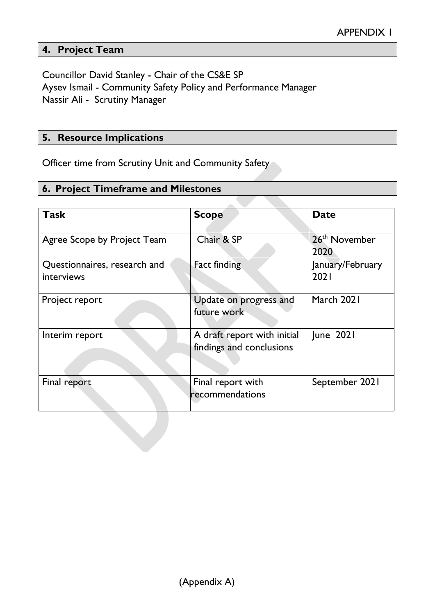# **4. Project Team**

Councillor David Stanley - Chair of the CS&E SP Aysev Ismail - Community Safety Policy and Performance Manager Nassir Ali - Scrutiny Manager

### **5. Resource Implications**

Officer time from Scrutiny Unit and Community Safety

### **6. Project Timeframe and Milestones**

| Task                                       | <b>Scope</b>                                            | <b>Date</b>                       |
|--------------------------------------------|---------------------------------------------------------|-----------------------------------|
| Agree Scope by Project Team                | Chair & SP                                              | 26 <sup>th</sup> November<br>2020 |
| Questionnaires, research and<br>interviews | <b>Fact finding</b>                                     | January/February<br>2021          |
| Project report                             | Update on progress and<br>future work                   | March 2021                        |
| Interim report                             | A draft report with initial<br>findings and conclusions | June 2021                         |
| Final report                               | Final report with<br>recommendations                    | September 2021                    |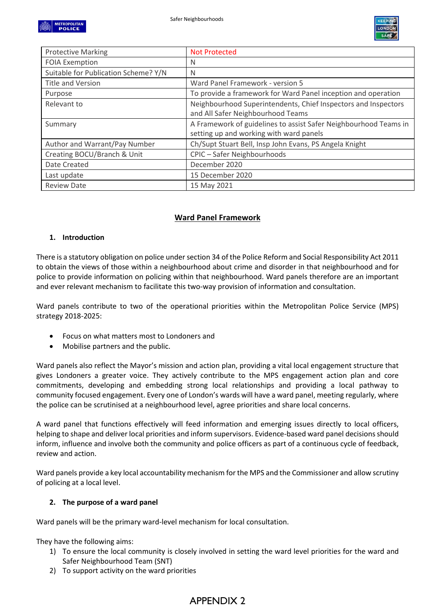

| <b>Protective Marking</b>            | Not Protected                                                    |
|--------------------------------------|------------------------------------------------------------------|
| <b>FOIA Exemption</b>                | N                                                                |
| Suitable for Publication Scheme? Y/N | N                                                                |
| Title and Version                    | Ward Panel Framework - version 5                                 |
| Purpose                              | To provide a framework for Ward Panel inception and operation    |
| Relevant to                          | Neighbourhood Superintendents, Chief Inspectors and Inspectors   |
|                                      | and All Safer Neighbourhood Teams                                |
| Summary                              | A Framework of guidelines to assist Safer Neighbourhood Teams in |
|                                      | setting up and working with ward panels                          |
| Author and Warrant/Pay Number        | Ch/Supt Stuart Bell, Insp John Evans, PS Angela Knight           |
| Creating BOCU/Branch & Unit          | CPIC - Safer Neighbourhoods                                      |
| Date Created                         | December 2020                                                    |
| Last update                          | 15 December 2020                                                 |
| <b>Review Date</b>                   | 15 May 2021                                                      |

### **Ward Panel Framework**

#### **1. Introduction**

There is a statutory obligation on police under section 34 of the Police Reform and Social Responsibility Act 2011 to obtain the views of those within a neighbourhood about crime and disorder in that neighbourhood and for police to provide information on policing within that neighbourhood. Ward panels therefore are an important and ever relevant mechanism to facilitate this two-way provision of information and consultation.

Ward panels contribute to two of the operational priorities within the Metropolitan Police Service (MPS) strategy 2018-2025:

- Focus on what matters most to Londoners and
- Mobilise partners and the public.

Ward panels also reflect the Mayor's mission and action plan, providing a vital local engagement structure that gives Londoners a greater voice. They actively contribute to the MPS engagement action plan and core commitments, developing and embedding strong local relationships and providing a local pathway to community focused engagement. Every one of London's wards will have a ward panel, meeting regularly, where the police can be scrutinised at a neighbourhood level, agree priorities and share local concerns.

A ward panel that functions effectively will feed information and emerging issues directly to local officers, helping to shape and deliver local priorities and inform supervisors. Evidence-based ward panel decisions should inform, influence and involve both the community and police officers as part of a continuous cycle of feedback, review and action.

Ward panels provide a key local accountability mechanism for the MPS and the Commissioner and allow scrutiny of policing at a local level.

#### **2. The purpose of a ward panel**

Ward panels will be the primary ward-level mechanism for local consultation.

They have the following aims:

- 1) To ensure the local community is closely involved in setting the ward level priorities for the ward and Safer Neighbourhood Team (SNT)
- 2) To support activity on the ward priorities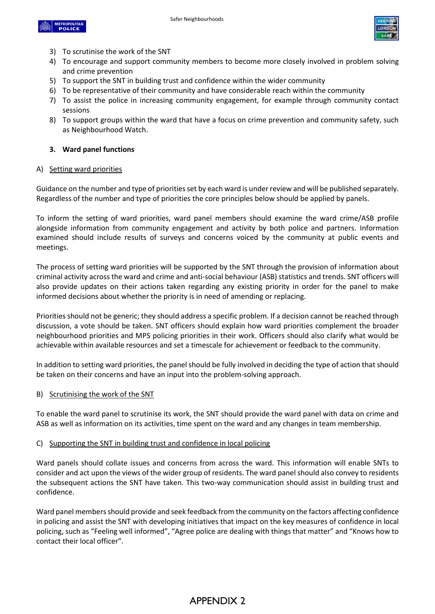



- 3) To scrutinise the work of the SNT
- 4) To encourage and support community members to become more closely involved in problem solving and crime prevention
- 5) To support the SNT in building trust and confidence within the wider community
- 6) To be representative of their community and have considerable reach within the community
- 7) To assist the police in increasing community engagement, for example through community contact sessions
- 8) To support groups within the ward that have a focus on crime prevention and community safety, such as Neighbourhood Watch.

#### **3. Ward panel functions**

#### A) Setting ward priorities

Guidance on the number and type of priorities set by each ward is under review and will be published separately. Regardless of the number and type of priorities the core principles below should be applied by panels.

To inform the setting of ward priorities, ward panel members should examine the ward crime/ASB profile alongside information from community engagement and activity by both police and partners. Information examined should include results of surveys and concerns voiced by the community at public events and meetings.

The process of setting ward priorities will be supported by the SNT through the provision of information about criminal activity across the ward and crime and anti-social behaviour (ASB) statistics and trends. SNT officers will also provide updates on their actions taken regarding any existing priority in order for the panel to make informed decisions about whether the priority is in need of amending or replacing.

Priorities should not be generic; they should address a specific problem. If a decision cannot be reached through discussion, a vote should be taken. SNT officers should explain how ward priorities complement the broader neighbourhood priorities and MPS policing priorities in their work. Officers should also clarify what would be achievable within available resources and set a timescale for achievement or feedback to the community.

In addition to setting ward priorities, the panel should be fully involved in deciding the type of action that should be taken on their concerns and have an input into the problem-solving approach.

#### B) Scrutinising the work of the SNT

To enable the ward panel to scrutinise its work, the SNT should provide the ward panel with data on crime and ASB as well as information on its activities, time spent on the ward and any changes in team membership.

#### C) Supporting the SNT in building trust and confidence in local policing

Ward panels should collate issues and concerns from across the ward. This information will enable SNTs to consider and act upon the views of the wider group of residents. The ward panel should also convey to residents the subsequent actions the SNT have taken. This two-way communication should assist in building trust and confidence.

Ward panel members should provide and seek feedback from the community on the factors affecting confidence in policing and assist the SNT with developing initiatives that impact on the key measures of confidence in local policing, such as "Feeling well informed", "Agree police are dealing with things that matter" and "Knows how to contact their local officer".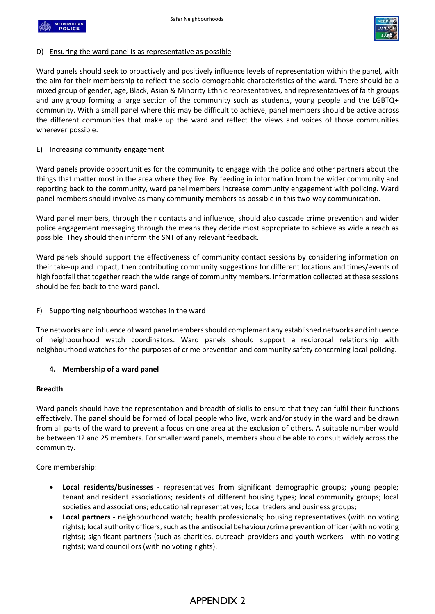



#### D) Ensuring the ward panel is as representative as possible

Ward panels should seek to proactively and positively influence levels of representation within the panel, with the aim for their membership to reflect the socio-demographic characteristics of the ward. There should be a mixed group of gender, age, Black, Asian & Minority Ethnic representatives, and representatives of faith groups and any group forming a large section of the community such as students, young people and the LGBTQ+ community. With a small panel where this may be difficult to achieve, panel members should be active across the different communities that make up the ward and reflect the views and voices of those communities wherever possible.

#### E) Increasing community engagement

Ward panels provide opportunities for the community to engage with the police and other partners about the things that matter most in the area where they live. By feeding in information from the wider community and reporting back to the community, ward panel members increase community engagement with policing. Ward panel members should involve as many community members as possible in this two-way communication.

Ward panel members, through their contacts and influence, should also cascade crime prevention and wider police engagement messaging through the means they decide most appropriate to achieve as wide a reach as possible. They should then inform the SNT of any relevant feedback.

Ward panels should support the effectiveness of community contact sessions by considering information on their take-up and impact, then contributing community suggestions for different locations and times/events of high footfall that together reach the wide range of community members. Information collected at these sessions should be fed back to the ward panel.

#### F) Supporting neighbourhood watches in the ward

The networks and influence of ward panel members should complement any established networks and influence of neighbourhood watch coordinators. Ward panels should support a reciprocal relationship with neighbourhood watches for the purposes of crime prevention and community safety concerning local policing.

#### **4. Membership of a ward panel**

#### **Breadth**

Ward panels should have the representation and breadth of skills to ensure that they can fulfil their functions effectively. The panel should be formed of local people who live, work and/or study in the ward and be drawn from all parts of the ward to prevent a focus on one area at the exclusion of others. A suitable number would be between 12 and 25 members. For smaller ward panels, members should be able to consult widely across the community.

Core membership:

- **Local residents/businesses** representatives from significant demographic groups; young people; tenant and resident associations; residents of different housing types; local community groups; local societies and associations; educational representatives; local traders and business groups;
- **Local partners -** neighbourhood watch; health professionals; housing representatives (with no voting rights); local authority officers, such as the antisocial behaviour/crime prevention officer (with no voting rights); significant partners (such as charities, outreach providers and youth workers - with no voting rights); ward councillors (with no voting rights).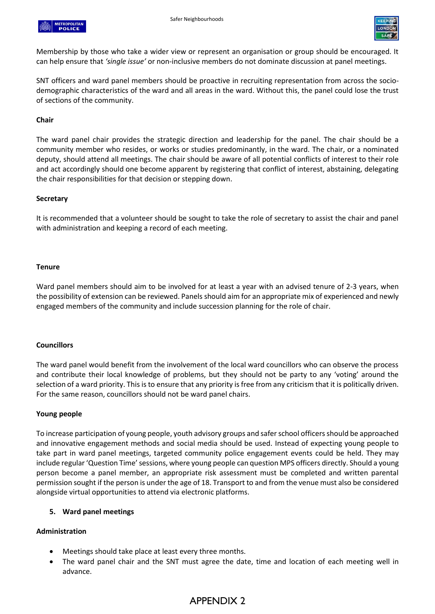



Membership by those who take a wider view or represent an organisation or group should be encouraged. It can help ensure that *'single issue'* or non-inclusive members do not dominate discussion at panel meetings.

SNT officers and ward panel members should be proactive in recruiting representation from across the sociodemographic characteristics of the ward and all areas in the ward. Without this, the panel could lose the trust of sections of the community.

#### **Chair**

The ward panel chair provides the strategic direction and leadership for the panel. The chair should be a community member who resides, or works or studies predominantly, in the ward. The chair, or a nominated deputy, should attend all meetings. The chair should be aware of all potential conflicts of interest to their role and act accordingly should one become apparent by registering that conflict of interest, abstaining, delegating the chair responsibilities for that decision or stepping down.

#### **Secretary**

It is recommended that a volunteer should be sought to take the role of secretary to assist the chair and panel with administration and keeping a record of each meeting.

#### **Tenure**

Ward panel members should aim to be involved for at least a year with an advised tenure of 2-3 years, when the possibility of extension can be reviewed. Panels should aim for an appropriate mix of experienced and newly engaged members of the community and include succession planning for the role of chair.

#### **Councillors**

The ward panel would benefit from the involvement of the local ward councillors who can observe the process and contribute their local knowledge of problems, but they should not be party to any 'voting' around the selection of a ward priority. This is to ensure that any priority is free from any criticism that it is politically driven. For the same reason, councillors should not be ward panel chairs.

#### **Young people**

To increase participation of young people, youth advisory groups and safer school officers should be approached and innovative engagement methods and social media should be used. Instead of expecting young people to take part in ward panel meetings, targeted community police engagement events could be held. They may include regular 'Question Time' sessions, where young people can question MPS officers directly. Should a young person become a panel member, an appropriate risk assessment must be completed and written parental permission sought if the person is under the age of 18. Transport to and from the venue must also be considered alongside virtual opportunities to attend via electronic platforms.

#### **5. Ward panel meetings**

#### **Administration**

- Meetings should take place at least every three months.
- The ward panel chair and the SNT must agree the date, time and location of each meeting well in advance.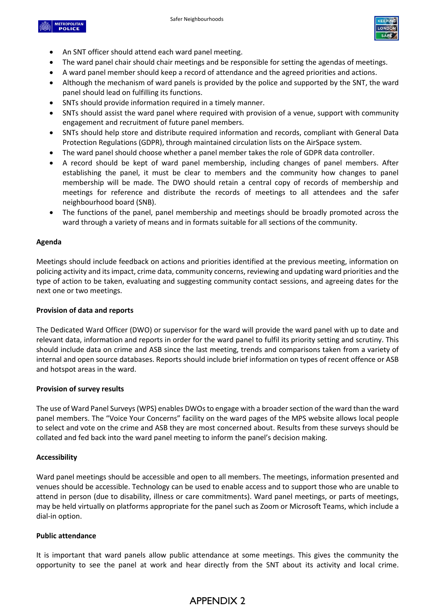



- An SNT officer should attend each ward panel meeting.
- The ward panel chair should chair meetings and be responsible for setting the agendas of meetings.
- A ward panel member should keep a record of attendance and the agreed priorities and actions.
- Although the mechanism of ward panels is provided by the police and supported by the SNT, the ward panel should lead on fulfilling its functions.
- SNTs should provide information required in a timely manner.
- SNTs should assist the ward panel where required with provision of a venue, support with community engagement and recruitment of future panel members.
- SNTs should help store and distribute required information and records, compliant with General Data Protection Regulations (GDPR), through maintained circulation lists on the AirSpace system.
- The ward panel should choose whether a panel member takes the role of GDPR data controller.
- A record should be kept of ward panel membership, including changes of panel members. After establishing the panel, it must be clear to members and the community how changes to panel membership will be made. The DWO should retain a central copy of records of membership and meetings for reference and distribute the records of meetings to all attendees and the safer neighbourhood board (SNB).
- The functions of the panel, panel membership and meetings should be broadly promoted across the ward through a variety of means and in formats suitable for all sections of the community.

#### **Agenda**

Meetings should include feedback on actions and priorities identified at the previous meeting, information on policing activity and its impact, crime data, community concerns, reviewing and updating ward priorities and the type of action to be taken, evaluating and suggesting community contact sessions, and agreeing dates for the next one or two meetings.

#### **Provision of data and reports**

The Dedicated Ward Officer (DWO) or supervisor for the ward will provide the ward panel with up to date and relevant data, information and reports in order for the ward panel to fulfil its priority setting and scrutiny. This should include data on crime and ASB since the last meeting, trends and comparisons taken from a variety of internal and open source databases. Reports should include brief information on types of recent offence or ASB and hotspot areas in the ward.

#### **Provision of survey results**

The use of Ward Panel Surveys (WPS) enables DWOs to engage with a broader section of the ward than the ward panel members. The "Voice Your Concerns" facility on the ward pages of the MPS website allows local people to select and vote on the crime and ASB they are most concerned about. Results from these surveys should be collated and fed back into the ward panel meeting to inform the panel's decision making.

#### **Accessibility**

Ward panel meetings should be accessible and open to all members. The meetings, information presented and venues should be accessible. Technology can be used to enable access and to support those who are unable to attend in person (due to disability, illness or care commitments). Ward panel meetings, or parts of meetings, may be held virtually on platforms appropriate for the panel such as Zoom or Microsoft Teams, which include a dial-in option.

#### **Public attendance**

It is important that ward panels allow public attendance at some meetings. This gives the community the opportunity to see the panel at work and hear directly from the SNT about its activity and local crime.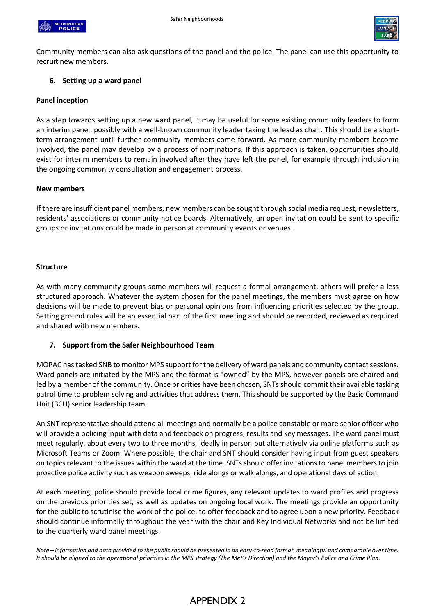



Community members can also ask questions of the panel and the police. The panel can use this opportunity to recruit new members.

#### **6. Setting up a ward panel**

#### **Panel inception**

As a step towards setting up a new ward panel, it may be useful for some existing community leaders to form an interim panel, possibly with a well-known community leader taking the lead as chair. This should be a shortterm arrangement until further community members come forward. As more community members become involved, the panel may develop by a process of nominations. If this approach is taken, opportunities should exist for interim members to remain involved after they have left the panel, for example through inclusion in the ongoing community consultation and engagement process.

#### **New members**

If there are insufficient panel members, new members can be sought through social media request, newsletters, residents' associations or community notice boards. Alternatively, an open invitation could be sent to specific groups or invitations could be made in person at community events or venues.

#### **Structure**

As with many community groups some members will request a formal arrangement, others will prefer a less structured approach. Whatever the system chosen for the panel meetings, the members must agree on how decisions will be made to prevent bias or personal opinions from influencing priorities selected by the group. Setting ground rules will be an essential part of the first meeting and should be recorded, reviewed as required and shared with new members.

#### **7. Support from the Safer Neighbourhood Team**

MOPAC has tasked SNB to monitor MPS support for the delivery of ward panels and community contact sessions. Ward panels are initiated by the MPS and the format is "owned" by the MPS, however panels are chaired and led by a member of the community. Once priorities have been chosen, SNTs should commit their available tasking patrol time to problem solving and activities that address them. This should be supported by the Basic Command Unit (BCU) senior leadership team.

An SNT representative should attend all meetings and normally be a police constable or more senior officer who will provide a policing input with data and feedback on progress, results and key messages. The ward panel must meet regularly, about every two to three months, ideally in person but alternatively via online platforms such as Microsoft Teams or Zoom. Where possible, the chair and SNT should consider having input from guest speakers on topics relevant to the issues within the ward at the time. SNTs should offer invitations to panel members to join proactive police activity such as weapon sweeps, ride alongs or walk alongs, and operational days of action.

At each meeting, police should provide local crime figures, any relevant updates to ward profiles and progress on the previous priorities set, as well as updates on ongoing local work. The meetings provide an opportunity for the public to scrutinise the work of the police, to offer feedback and to agree upon a new priority. Feedback should continue informally throughout the year with the chair and Key Individual Networks and not be limited to the quarterly ward panel meetings.

*Note – information and data provided to the public should be presented in an easy-to-read format, meaningful and comparable over time. It should be aligned to the operational priorities in the MPS strategy (The Met's Direction) and the Mayor's Police and Crime Plan.*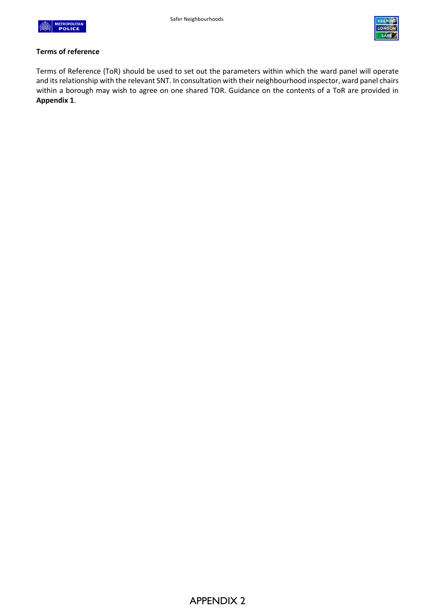



#### **Terms of reference**

Terms of Reference (ToR) should be used to set out the parameters within which the ward panel will operate and its relationship with the relevant SNT. In consultation with their neighbourhood inspector, ward panel chairs within a borough may wish to agree on one shared TOR. Guidance on the contents of a ToR are provided in **Appendix 1**.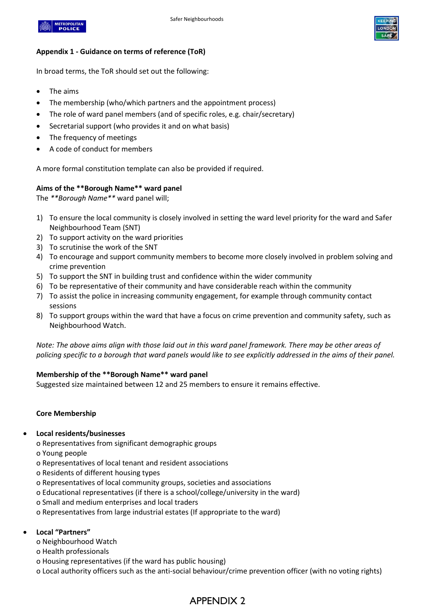



#### **Appendix 1 - Guidance on terms of reference (ToR)**

In broad terms, the ToR should set out the following:

- The aims
- The membership (who/which partners and the appointment process)
- The role of ward panel members (and of specific roles, e.g. chair/secretary)
- Secretarial support (who provides it and on what basis)
- The frequency of meetings
- A code of conduct for members

A more formal constitution template can also be provided if required.

#### **Aims of the \*\*Borough Name\*\* ward panel**

The *\*\*Borough Name\*\** ward panel will;

- 1) To ensure the local community is closely involved in setting the ward level priority for the ward and Safer Neighbourhood Team (SNT)
- 2) To support activity on the ward priorities
- 3) To scrutinise the work of the SNT
- 4) To encourage and support community members to become more closely involved in problem solving and crime prevention
- 5) To support the SNT in building trust and confidence within the wider community
- 6) To be representative of their community and have considerable reach within the community
- 7) To assist the police in increasing community engagement, for example through community contact sessions
- 8) To support groups within the ward that have a focus on crime prevention and community safety, such as Neighbourhood Watch.

*Note: The above aims align with those laid out in this ward panel framework. There may be other areas of policing specific to a borough that ward panels would like to see explicitly addressed in the aims of their panel.* 

#### **Membership of the \*\*Borough Name\*\* ward panel**

Suggested size maintained between 12 and 25 members to ensure it remains effective.

#### **Core Membership**

#### • **Local residents/businesses**

o Representatives from significant demographic groups

- o Young people
- o Representatives of local tenant and resident associations
- o Residents of different housing types
- o Representatives of local community groups, societies and associations
- o Educational representatives (if there is a school/college/university in the ward)
- o Small and medium enterprises and local traders
- o Representatives from large industrial estates (If appropriate to the ward)

#### • **Local "Partners"**

- o Neighbourhood Watch
- o Health professionals
- o Housing representatives (if the ward has public housing)
- o Local authority officers such as the anti-social behaviour/crime prevention officer (with no voting rights)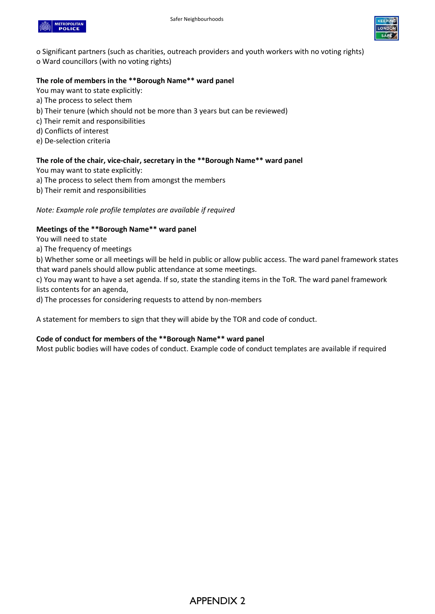



o Significant partners (such as charities, outreach providers and youth workers with no voting rights) o Ward councillors (with no voting rights)

#### **The role of members in the \*\*Borough Name\*\* ward panel**

You may want to state explicitly:

- a) The process to select them
- b) Their tenure (which should not be more than 3 years but can be reviewed)
- c) Their remit and responsibilities
- d) Conflicts of interest
- e) De-selection criteria

#### **The role of the chair, vice-chair, secretary in the \*\*Borough Name\*\* ward panel**

You may want to state explicitly:

- a) The process to select them from amongst the members
- b) Their remit and responsibilities

#### *Note: Example role profile templates are available if required*

#### **Meetings of the \*\*Borough Name\*\* ward panel**

You will need to state

a) The frequency of meetings

b) Whether some or all meetings will be held in public or allow public access. The ward panel framework states that ward panels should allow public attendance at some meetings.

c) You may want to have a set agenda. If so, state the standing items in the ToR. The ward panel framework lists contents for an agenda,

d) The processes for considering requests to attend by non-members

A statement for members to sign that they will abide by the TOR and code of conduct.

#### **Code of conduct for members of the \*\*Borough Name\*\* ward panel**

Most public bodies will have codes of conduct. Example code of conduct templates are available if required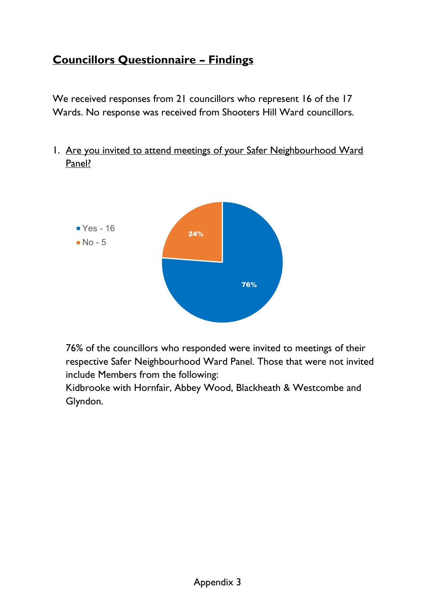# **Councillors Questionnaire – Findings**

We received responses from 21 councillors who represent 16 of the 17 Wards. No response was received from Shooters Hill Ward councillors.

1. Are you invited to attend meetings of your Safer Neighbourhood Ward Panel?



76% of the councillors who responded were invited to meetings of their respective Safer Neighbourhood Ward Panel. Those that were not invited include Members from the following:

Kidbrooke with Hornfair, Abbey Wood, Blackheath & Westcombe and Glyndon.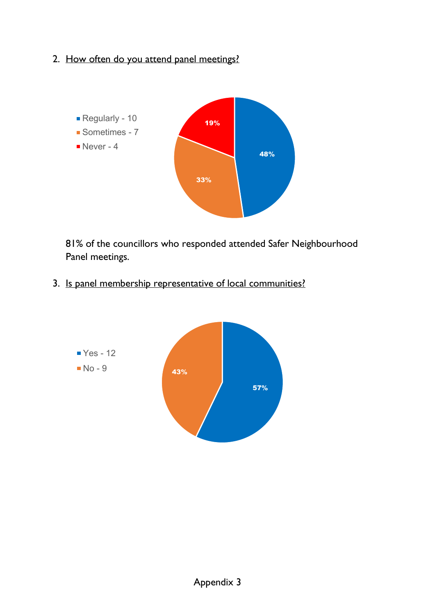2. How often do you attend panel meetings?



81% of the councillors who responded attended Safer Neighbourhood Panel meetings.

3. Is panel membership representative of local communities?

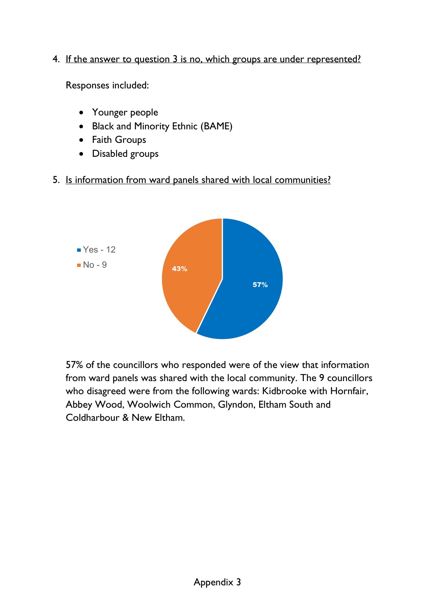4. If the answer to question 3 is no, which groups are under represented?

Responses included:

- Younger people
- Black and Minority Ethnic (BAME)
- Faith Groups
- Disabled groups
- 5. Is information from ward panels shared with local communities?



57% of the councillors who responded were of the view that information from ward panels was shared with the local community. The 9 councillors who disagreed were from the following wards: Kidbrooke with Hornfair, Abbey Wood, Woolwich Common, Glyndon, Eltham South and Coldharbour & New Eltham.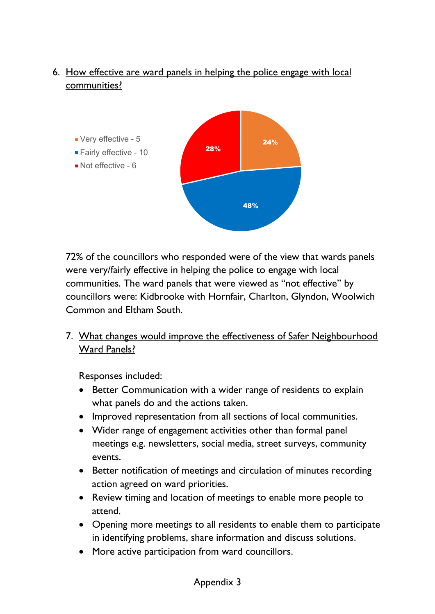# 6. How effective are ward panels in helping the police engage with local communities?



72% of the councillors who responded were of the view that wards panels were very/fairly effective in helping the police to engage with local communities. The ward panels that were viewed as "not effective" by councillors were: Kidbrooke with Hornfair, Charlton, Glyndon, Woolwich Common and Eltham South.

7. What changes would improve the effectiveness of Safer Neighbourhood Ward Panels?

Responses included:

- Better Communication with a wider range of residents to explain what panels do and the actions taken.
- Improved representation from all sections of local communities.
- Wider range of engagement activities other than formal panel meetings e.g. newsletters, social media, street surveys, community events.
- Better notification of meetings and circulation of minutes recording action agreed on ward priorities.
- Review timing and location of meetings to enable more people to attend.
- Opening more meetings to all residents to enable them to participate in identifying problems, share information and discuss solutions.
- More active participation from ward councillors.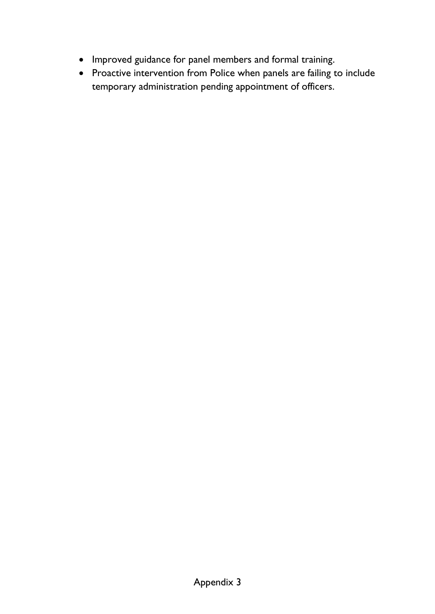- Improved guidance for panel members and formal training.
- Proactive intervention from Police when panels are failing to include temporary administration pending appointment of officers.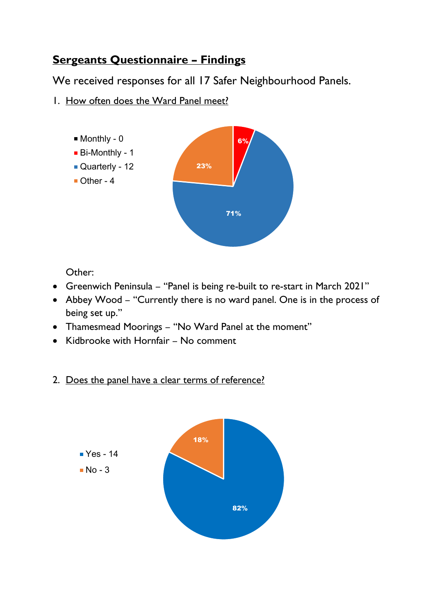# **Sergeants Questionnaire – Findings**

We received responses for all 17 Safer Neighbourhood Panels.

1. How often does the Ward Panel meet?



Other:

- Greenwich Peninsula "Panel is being re-built to re-start in March 2021"
- Abbey Wood "Currently there is no ward panel. One is in the process of being set up."
- Thamesmead Moorings "No Ward Panel at the moment"
- Kidbrooke with Hornfair No comment
- 2. Does the panel have a clear terms of reference?

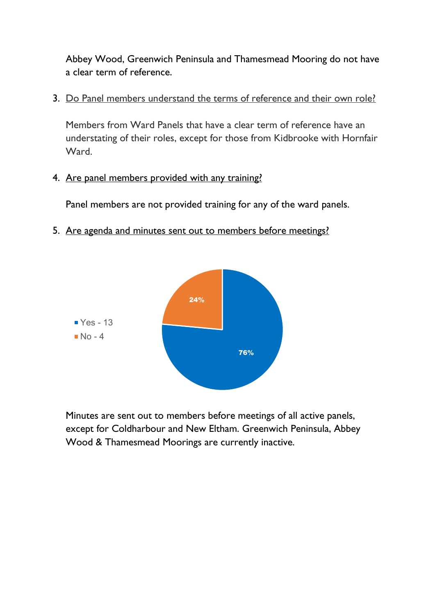Abbey Wood, Greenwich Peninsula and Thamesmead Mooring do not have a clear term of reference.

3. Do Panel members understand the terms of reference and their own role?

Members from Ward Panels that have a clear term of reference have an understating of their roles, except for those from Kidbrooke with Hornfair Ward.

4. Are panel members provided with any training?

Panel members are not provided training for any of the ward panels.

5. Are agenda and minutes sent out to members before meetings?



Minutes are sent out to members before meetings of all active panels, except for Coldharbour and New Eltham. Greenwich Peninsula, Abbey Wood & Thamesmead Moorings are currently inactive.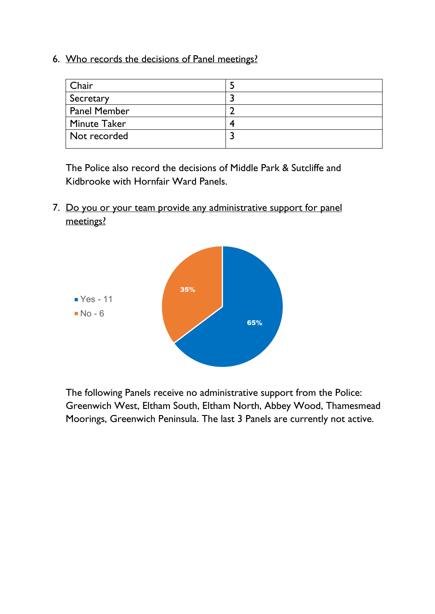6. Who records the decisions of Panel meetings?

| Chair        |  |
|--------------|--|
| Secretary    |  |
| Panel Member |  |
| Minute Taker |  |
| Not recorded |  |
|              |  |

The Police also record the decisions of Middle Park & Sutcliffe and Kidbrooke with Hornfair Ward Panels.

7. Do you or your team provide any administrative support for panel meetings?



The following Panels receive no administrative support from the Police: Greenwich West, Eltham South, Eltham North, Abbey Wood, Thamesmead Moorings, Greenwich Peninsula. The last 3 Panels are currently not active.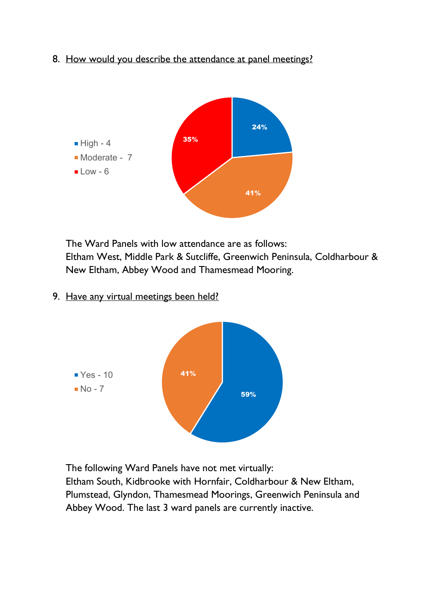8. How would you describe the attendance at panel meetings?



The Ward Panels with low attendance are as follows: Eltham West, Middle Park & Sutcliffe, Greenwich Peninsula, Coldharbour & New Eltham, Abbey Wood and Thamesmead Mooring.

9. Have any virtual meetings been held?



The following Ward Panels have not met virtually:

Eltham South, Kidbrooke with Hornfair, Coldharbour & New Eltham, Plumstead, Glyndon, Thamesmead Moorings, Greenwich Peninsula and Abbey Wood. The last 3 ward panels are currently inactive.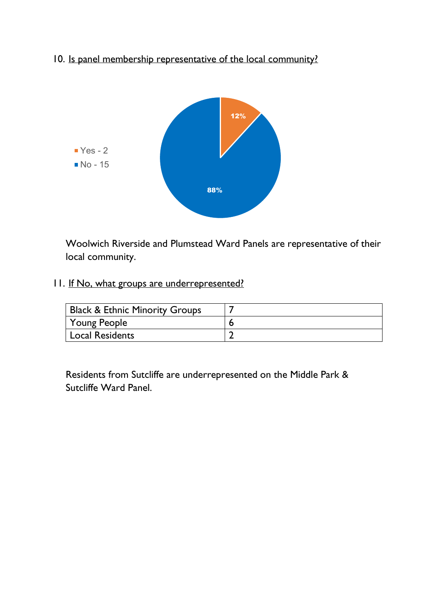10. Is panel membership representative of the local community?



Woolwich Riverside and Plumstead Ward Panels are representative of their local community.

11. If No, what groups are underrepresented?

| <b>Black &amp; Ethnic Minority Groups</b> |  |
|-------------------------------------------|--|
| Young People                              |  |
| Local Residents                           |  |

Residents from Sutcliffe are underrepresented on the Middle Park & Sutcliffe Ward Panel.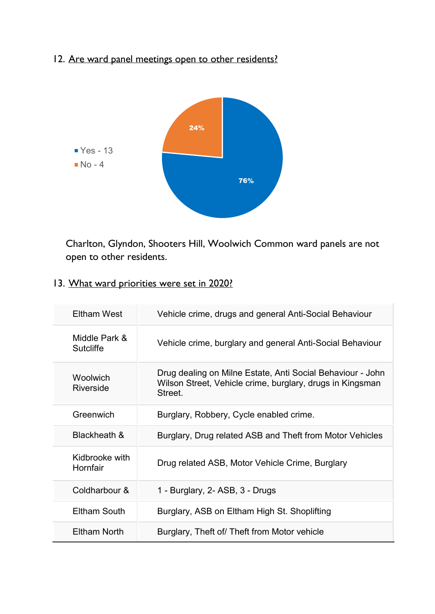# 12. Are ward panel meetings open to other residents?



Charlton, Glyndon, Shooters Hill, Woolwich Common ward panels are not open to other residents.

13. What ward priorities were set in 2020?

| <b>Eltham West</b>                | Vehicle crime, drugs and general Anti-Social Behaviour                                                                            |
|-----------------------------------|-----------------------------------------------------------------------------------------------------------------------------------|
| Middle Park &<br><b>Sutcliffe</b> | Vehicle crime, burglary and general Anti-Social Behaviour                                                                         |
| Woolwich<br>Riverside             | Drug dealing on Milne Estate, Anti Social Behaviour - John<br>Wilson Street, Vehicle crime, burglary, drugs in Kingsman<br>Street |
| Greenwich                         | Burglary, Robbery, Cycle enabled crime.                                                                                           |
| Blackheath &                      | Burglary, Drug related ASB and Theft from Motor Vehicles                                                                          |
| Kidbrooke with<br>Hornfair        | Drug related ASB, Motor Vehicle Crime, Burglary                                                                                   |
| Coldharbour &                     | 1 - Burglary, 2- ASB, 3 - Drugs                                                                                                   |
| <b>Eltham South</b>               | Burglary, ASB on Eltham High St. Shoplifting                                                                                      |
| Eltham North                      | Burglary, Theft of/ Theft from Motor vehicle                                                                                      |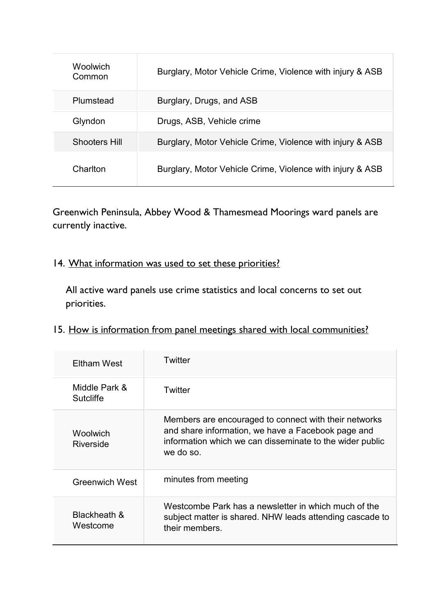| <b>Woolwich</b><br>Common | Burglary, Motor Vehicle Crime, Violence with injury & ASB |
|---------------------------|-----------------------------------------------------------|
| Plumstead                 | Burglary, Drugs, and ASB                                  |
| Glyndon                   | Drugs, ASB, Vehicle crime                                 |
| <b>Shooters Hill</b>      | Burglary, Motor Vehicle Crime, Violence with injury & ASB |
| Charlton                  | Burglary, Motor Vehicle Crime, Violence with injury & ASB |

Greenwich Peninsula, Abbey Wood & Thamesmead Moorings ward panels are currently inactive.

# 14. What information was used to set these priorities?

All active ward panels use crime statistics and local concerns to set out priorities.

# 15. How is information from panel meetings shared with local communities?

| <b>Eltham West</b>                | Twitter                                                                                                                                                                              |
|-----------------------------------|--------------------------------------------------------------------------------------------------------------------------------------------------------------------------------------|
| Middle Park &<br><b>Sutcliffe</b> | Twitter                                                                                                                                                                              |
| Woolwich<br>Riverside             | Members are encouraged to connect with their networks<br>and share information, we have a Facebook page and<br>information which we can disseminate to the wider public<br>we do so. |
| <b>Greenwich West</b>             | minutes from meeting                                                                                                                                                                 |
| Blackheath &<br>Westcome          | Westcombe Park has a newsletter in which much of the<br>subject matter is shared. NHW leads attending cascade to<br>their members.                                                   |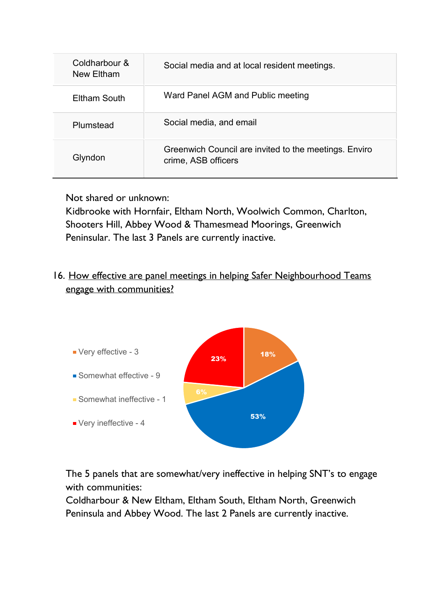| Coldharbour &<br>New Eltham | Social media and at local resident meetings.                                 |
|-----------------------------|------------------------------------------------------------------------------|
| Eltham South                | Ward Panel AGM and Public meeting                                            |
| Plumstead                   | Social media, and email                                                      |
| Glyndon                     | Greenwich Council are invited to the meetings. Enviro<br>crime, ASB officers |

Not shared or unknown:

Kidbrooke with Hornfair, Eltham North, Woolwich Common, Charlton, Shooters Hill, Abbey Wood & Thamesmead Moorings, Greenwich Peninsular. The last 3 Panels are currently inactive.

# 16. How effective are panel meetings in helping Safer Neighbourhood Teams engage with communities?



The 5 panels that are somewhat/very ineffective in helping SNT's to engage with communities:

Coldharbour & New Eltham, Eltham South, Eltham North, Greenwich Peninsula and Abbey Wood. The last 2 Panels are currently inactive.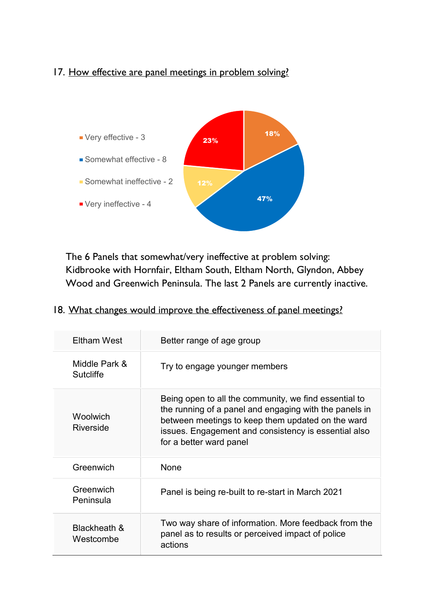# 17. How effective are panel meetings in problem solving?



The 6 Panels that somewhat/very ineffective at problem solving: Kidbrooke with Hornfair, Eltham South, Eltham North, Glyndon, Abbey Wood and Greenwich Peninsula. The last 2 Panels are currently inactive.

# 18. What changes would improve the effectiveness of panel meetings?

| Eltham West                       | Better range of age group                                                                                                                                                                                                                               |
|-----------------------------------|---------------------------------------------------------------------------------------------------------------------------------------------------------------------------------------------------------------------------------------------------------|
| Middle Park &<br><b>Sutcliffe</b> | Try to engage younger members                                                                                                                                                                                                                           |
| Woolwich<br>Riverside             | Being open to all the community, we find essential to<br>the running of a panel and engaging with the panels in<br>between meetings to keep them updated on the ward<br>issues. Engagement and consistency is essential also<br>for a better ward panel |
| Greenwich                         | None                                                                                                                                                                                                                                                    |
| Greenwich<br>Peninsula            | Panel is being re-built to re-start in March 2021                                                                                                                                                                                                       |
| Blackheath &<br>Westcombe         | Two way share of information. More feedback from the<br>panel as to results or perceived impact of police<br>actions                                                                                                                                    |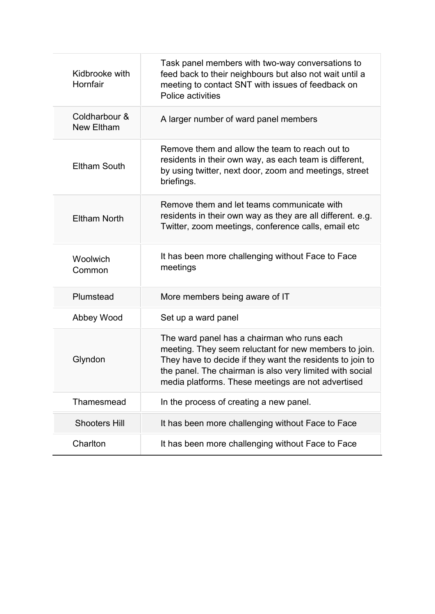| Task panel members with two-way conversations to<br>feed back to their neighbours but also not wait until a<br>meeting to contact SNT with issues of feedback on<br>Police activities                                                                                               |
|-------------------------------------------------------------------------------------------------------------------------------------------------------------------------------------------------------------------------------------------------------------------------------------|
| A larger number of ward panel members                                                                                                                                                                                                                                               |
| Remove them and allow the team to reach out to<br>residents in their own way, as each team is different,<br>by using twitter, next door, zoom and meetings, street<br>briefings.                                                                                                    |
| Remove them and let teams communicate with<br>residents in their own way as they are all different. e.g.<br>Twitter, zoom meetings, conference calls, email etc                                                                                                                     |
| It has been more challenging without Face to Face<br>meetings                                                                                                                                                                                                                       |
| More members being aware of IT                                                                                                                                                                                                                                                      |
| Set up a ward panel                                                                                                                                                                                                                                                                 |
| The ward panel has a chairman who runs each<br>meeting. They seem reluctant for new members to join.<br>They have to decide if they want the residents to join to<br>the panel. The chairman is also very limited with social<br>media platforms. These meetings are not advertised |
| In the process of creating a new panel.                                                                                                                                                                                                                                             |
| It has been more challenging without Face to Face                                                                                                                                                                                                                                   |
| It has been more challenging without Face to Face                                                                                                                                                                                                                                   |
|                                                                                                                                                                                                                                                                                     |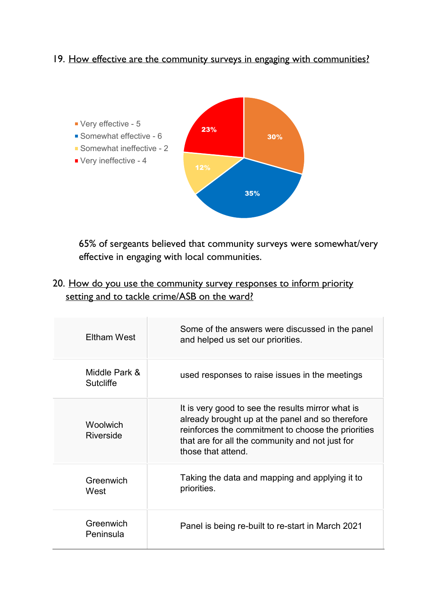# 19. How effective are the community surveys in engaging with communities?



65% of sergeants believed that community surveys were somewhat/very effective in engaging with local communities.

20. How do you use the community survey responses to inform priority setting and to tackle crime/ASB on the ward?

| Eltham West                       | Some of the answers were discussed in the panel<br>and helped us set our priorities.                                                                                                                                                 |
|-----------------------------------|--------------------------------------------------------------------------------------------------------------------------------------------------------------------------------------------------------------------------------------|
| Middle Park &<br><b>Sutcliffe</b> | used responses to raise issues in the meetings                                                                                                                                                                                       |
| Woolwich<br>Riverside             | It is very good to see the results mirror what is<br>already brought up at the panel and so therefore<br>reinforces the commitment to choose the priorities<br>that are for all the community and not just for<br>those that attend. |
| Greenwich<br>West                 | Taking the data and mapping and applying it to<br>priorities.                                                                                                                                                                        |
| Greenwich<br>Peninsula            | Panel is being re-built to re-start in March 2021                                                                                                                                                                                    |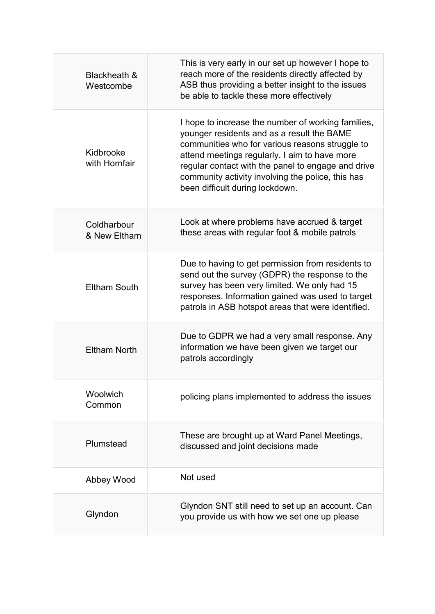| Blackheath &<br>Westcombe   | This is very early in our set up however I hope to<br>reach more of the residents directly affected by<br>ASB thus providing a better insight to the issues<br>be able to tackle these more effectively                                                                                                                                            |
|-----------------------------|----------------------------------------------------------------------------------------------------------------------------------------------------------------------------------------------------------------------------------------------------------------------------------------------------------------------------------------------------|
| Kidbrooke<br>with Hornfair  | I hope to increase the number of working families,<br>younger residents and as a result the BAME<br>communities who for various reasons struggle to<br>attend meetings regularly. I aim to have more<br>regular contact with the panel to engage and drive<br>community activity involving the police, this has<br>been difficult during lockdown. |
| Coldharbour<br>& New Eltham | Look at where problems have accrued & target<br>these areas with regular foot & mobile patrols                                                                                                                                                                                                                                                     |
| <b>Eltham South</b>         | Due to having to get permission from residents to<br>send out the survey (GDPR) the response to the<br>survey has been very limited. We only had 15<br>responses. Information gained was used to target<br>patrols in ASB hotspot areas that were identified.                                                                                      |
| <b>Eltham North</b>         | Due to GDPR we had a very small response. Any<br>information we have been given we target our<br>patrols accordingly                                                                                                                                                                                                                               |
| Woolwich<br>Common          | policing plans implemented to address the issues                                                                                                                                                                                                                                                                                                   |
| Plumstead                   | These are brought up at Ward Panel Meetings,<br>discussed and joint decisions made                                                                                                                                                                                                                                                                 |
| Abbey Wood                  | Not used                                                                                                                                                                                                                                                                                                                                           |
| Glyndon                     | Glyndon SNT still need to set up an account. Can<br>you provide us with how we set one up please                                                                                                                                                                                                                                                   |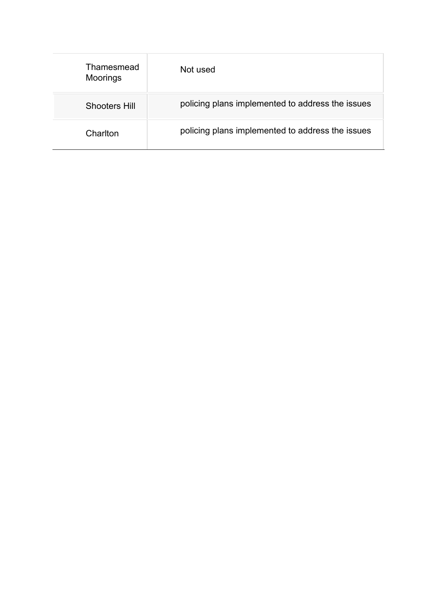| Thamesmead<br><b>Moorings</b> | Not used                                         |
|-------------------------------|--------------------------------------------------|
| <b>Shooters Hill</b>          | policing plans implemented to address the issues |
| Charlton                      | policing plans implemented to address the issues |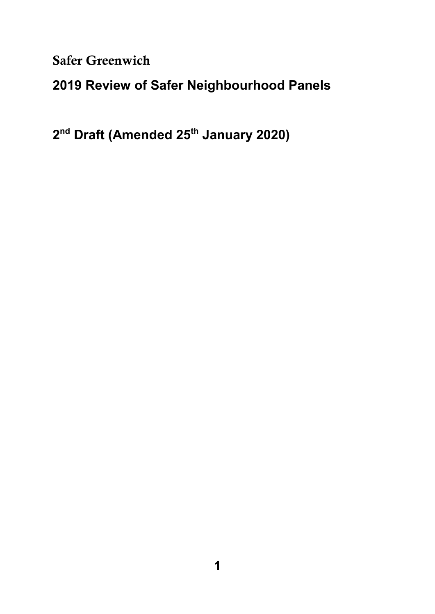Safer Greenwich

# **2019 Review of Safer Neighbourhood Panels**

**2 nd Draft (Amended 25th January 2020)**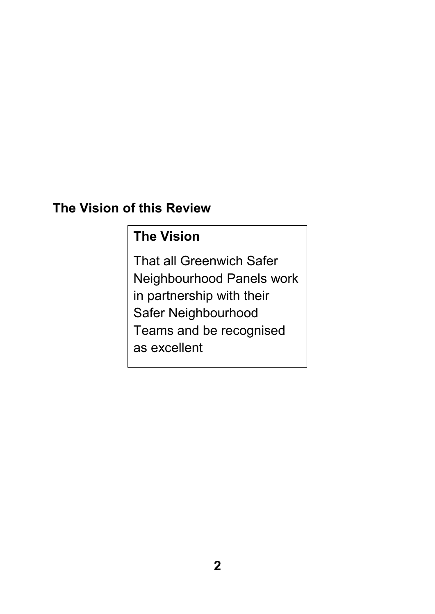# **The Vision of this Review**

# **The Vision**

That all Greenwich Safer Neighbourhood Panels work in partnership with their Safer Neighbourhood Teams and be recognised as excellent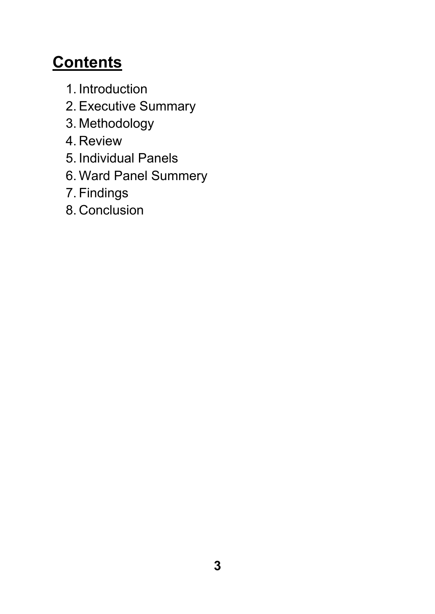# **Contents**

- 1. Introduction
- 2. Executive Summary
- 3. Methodology
- 4. Review
- 5. Individual Panels
- 6. Ward Panel Summery
- 7. Findings
- 8. Conclusion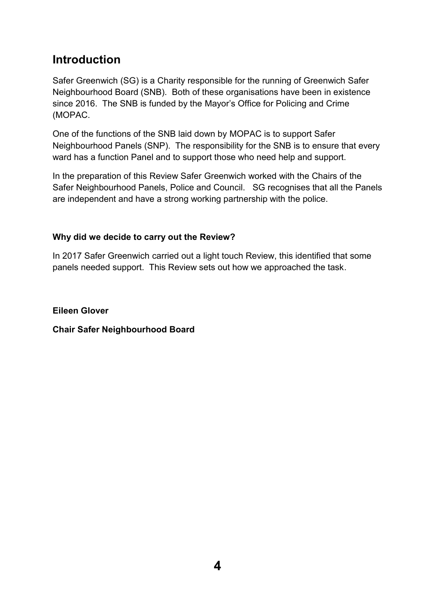# **Introduction**

Safer Greenwich (SG) is a Charity responsible for the running of Greenwich Safer Neighbourhood Board (SNB). Both of these organisations have been in existence since 2016. The SNB is funded by the Mayor's Office for Policing and Crime (MOPAC.

One of the functions of the SNB laid down by MOPAC is to support Safer Neighbourhood Panels (SNP). The responsibility for the SNB is to ensure that every ward has a function Panel and to support those who need help and support.

In the preparation of this Review Safer Greenwich worked with the Chairs of the Safer Neighbourhood Panels, Police and Council. SG recognises that all the Panels are independent and have a strong working partnership with the police.

### **Why did we decide to carry out the Review?**

In 2017 Safer Greenwich carried out a light touch Review, this identified that some panels needed support. This Review sets out how we approached the task.

**Eileen Glover** 

**Chair Safer Neighbourhood Board**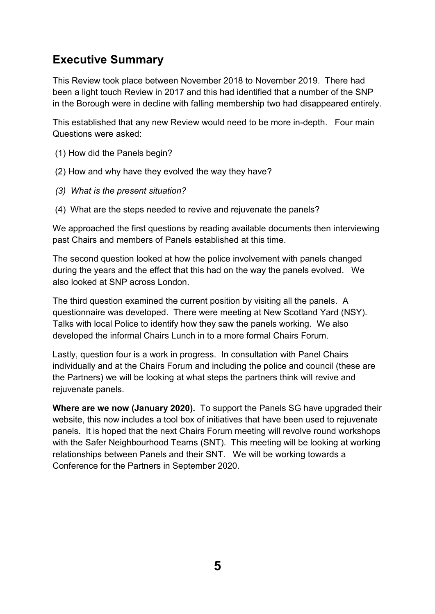# **Executive Summary**

This Review took place between November 2018 to November 2019. There had been a light touch Review in 2017 and this had identified that a number of the SNP in the Borough were in decline with falling membership two had disappeared entirely.

This established that any new Review would need to be more in-depth. Four main Questions were asked:

- (1) How did the Panels begin?
- (2) How and why have they evolved the way they have?
- *(3) What is the present situation?*
- (4) What are the steps needed to revive and rejuvenate the panels?

We approached the first questions by reading available documents then interviewing past Chairs and members of Panels established at this time.

The second question looked at how the police involvement with panels changed during the years and the effect that this had on the way the panels evolved. We also looked at SNP across London.

The third question examined the current position by visiting all the panels. A questionnaire was developed. There were meeting at New Scotland Yard (NSY). Talks with local Police to identify how they saw the panels working. We also developed the informal Chairs Lunch in to a more formal Chairs Forum.

Lastly, question four is a work in progress. In consultation with Panel Chairs individually and at the Chairs Forum and including the police and council (these are the Partners) we will be looking at what steps the partners think will revive and rejuvenate panels.

**Where are we now (January 2020).** To support the Panels SG have upgraded their website, this now includes a tool box of initiatives that have been used to rejuvenate panels. It is hoped that the next Chairs Forum meeting will revolve round workshops with the Safer Neighbourhood Teams (SNT). This meeting will be looking at working relationships between Panels and their SNT. We will be working towards a Conference for the Partners in September 2020.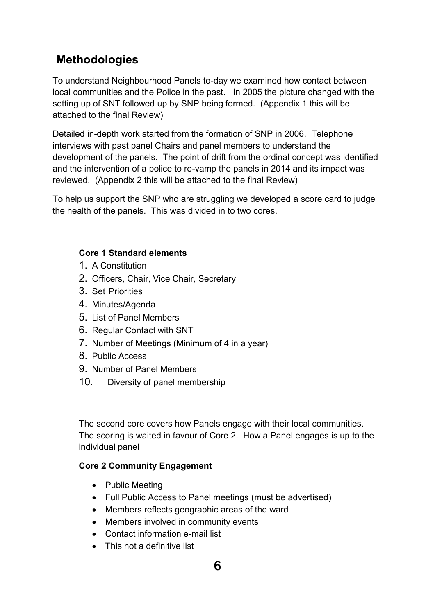# **Methodologies**

To understand Neighbourhood Panels to-day we examined how contact between local communities and the Police in the past. In 2005 the picture changed with the setting up of SNT followed up by SNP being formed. (Appendix 1 this will be attached to the final Review)

Detailed in-depth work started from the formation of SNP in 2006. Telephone interviews with past panel Chairs and panel members to understand the development of the panels. The point of drift from the ordinal concept was identified and the intervention of a police to re-vamp the panels in 2014 and its impact was reviewed. (Appendix 2 this will be attached to the final Review)

To help us support the SNP who are struggling we developed a score card to judge the health of the panels. This was divided in to two cores.

### **Core 1 Standard elements**

- 1. A Constitution
- 2. Officers, Chair, Vice Chair, Secretary
- 3. Set Priorities
- 4. Minutes/Agenda
- 5. List of Panel Members
- 6. Regular Contact with SNT
- 7. Number of Meetings (Minimum of 4 in a year)
- 8. Public Access
- 9. Number of Panel Members
- 10. Diversity of panel membership

The second core covers how Panels engage with their local communities. The scoring is waited in favour of Core 2. How a Panel engages is up to the individual panel

### **Core 2 Community Engagement**

- Public Meeting
- Full Public Access to Panel meetings (must be advertised)
- Members reflects geographic areas of the ward
- Members involved in community events
- Contact information e-mail list
- This not a definitive list

# **6**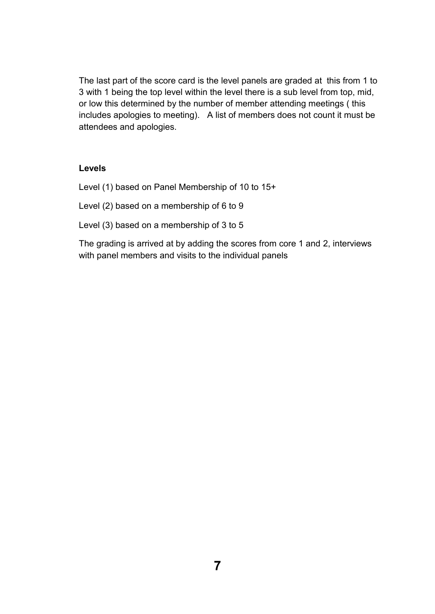The last part of the score card is the level panels are graded at this from 1 to 3 with 1 being the top level within the level there is a sub level from top, mid, or low this determined by the number of member attending meetings ( this includes apologies to meeting). A list of members does not count it must be attendees and apologies.

### **Levels**

Level (1) based on Panel Membership of 10 to 15+

Level (2) based on a membership of 6 to 9

Level (3) based on a membership of 3 to 5

The grading is arrived at by adding the scores from core 1 and 2, interviews with panel members and visits to the individual panels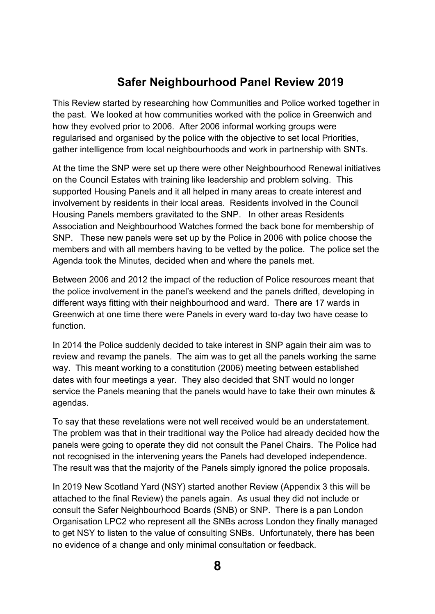# **Safer Neighbourhood Panel Review 2019**

This Review started by researching how Communities and Police worked together in the past. We looked at how communities worked with the police in Greenwich and how they evolved prior to 2006. After 2006 informal working groups were regularised and organised by the police with the objective to set local Priorities, gather intelligence from local neighbourhoods and work in partnership with SNTs.

At the time the SNP were set up there were other Neighbourhood Renewal initiatives on the Council Estates with training like leadership and problem solving. This supported Housing Panels and it all helped in many areas to create interest and involvement by residents in their local areas. Residents involved in the Council Housing Panels members gravitated to the SNP. In other areas Residents Association and Neighbourhood Watches formed the back bone for membership of SNP. These new panels were set up by the Police in 2006 with police choose the members and with all members having to be vetted by the police. The police set the Agenda took the Minutes, decided when and where the panels met.

Between 2006 and 2012 the impact of the reduction of Police resources meant that the police involvement in the panel's weekend and the panels drifted, developing in different ways fitting with their neighbourhood and ward. There are 17 wards in Greenwich at one time there were Panels in every ward to-day two have cease to function.

In 2014 the Police suddenly decided to take interest in SNP again their aim was to review and revamp the panels. The aim was to get all the panels working the same way. This meant working to a constitution (2006) meeting between established dates with four meetings a year. They also decided that SNT would no longer service the Panels meaning that the panels would have to take their own minutes & agendas.

To say that these revelations were not well received would be an understatement. The problem was that in their traditional way the Police had already decided how the panels were going to operate they did not consult the Panel Chairs. The Police had not recognised in the intervening years the Panels had developed independence. The result was that the majority of the Panels simply ignored the police proposals.

In 2019 New Scotland Yard (NSY) started another Review (Appendix 3 this will be attached to the final Review) the panels again. As usual they did not include or consult the Safer Neighbourhood Boards (SNB) or SNP. There is a pan London Organisation LPC2 who represent all the SNBs across London they finally managed to get NSY to listen to the value of consulting SNBs. Unfortunately, there has been no evidence of a change and only minimal consultation or feedback.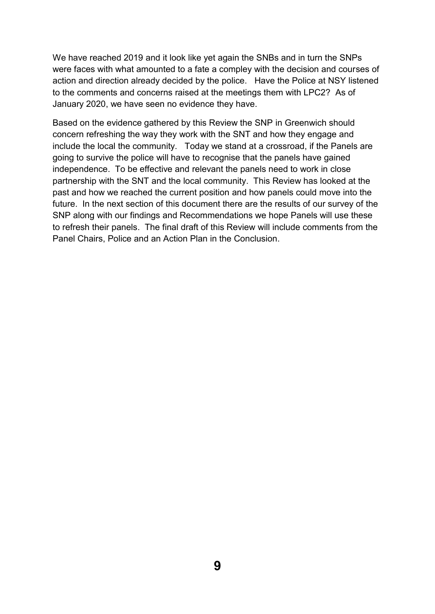We have reached 2019 and it look like yet again the SNBs and in turn the SNPs were faces with what amounted to a fate a compley with the decision and courses of action and direction already decided by the police. Have the Police at NSY listened to the comments and concerns raised at the meetings them with LPC2? As of January 2020, we have seen no evidence they have.

Based on the evidence gathered by this Review the SNP in Greenwich should concern refreshing the way they work with the SNT and how they engage and include the local the community. Today we stand at a crossroad, if the Panels are going to survive the police will have to recognise that the panels have gained independence. To be effective and relevant the panels need to work in close partnership with the SNT and the local community. This Review has looked at the past and how we reached the current position and how panels could move into the future. In the next section of this document there are the results of our survey of the SNP along with our findings and Recommendations we hope Panels will use these to refresh their panels. The final draft of this Review will include comments from the Panel Chairs, Police and an Action Plan in the Conclusion.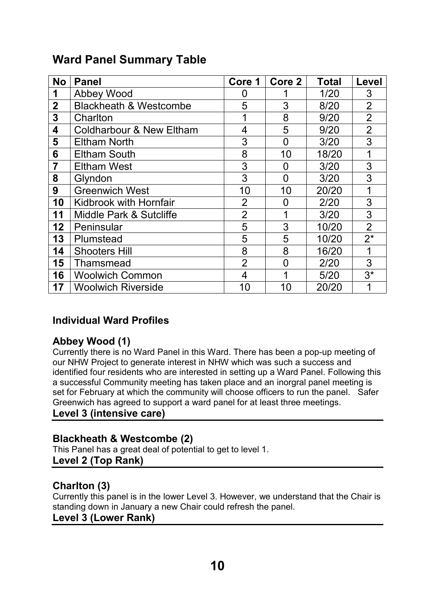# **Ward Panel Summary Table**

| <b>No</b>      | <b>Panel</b>                        | Core 1         | Core 2   | Total  | Level          |
|----------------|-------------------------------------|----------------|----------|--------|----------------|
| 1              | Abbey Wood                          |                |          | 1/20   | 3              |
| $\overline{2}$ | <b>Blackheath &amp; Westcombe</b>   | 5              | 3        | 8/20   | $\overline{2}$ |
| 3              | Charlton                            |                | 8        | 9/20   | $\overline{2}$ |
| 4              | <b>Coldharbour &amp; New Eltham</b> | 4              | 5        | 9/20   | $\overline{2}$ |
| 5              | <b>Eltham North</b>                 | 3              | 0        | 3/20   | 3              |
| 6              | <b>Eltham South</b>                 | 8              | 10       | 18/20  | 1              |
| 7              | <b>Eltham West</b>                  | 3              | 0        | 3/20   | 3              |
| 8              | Glyndon                             | 3              | 0        | 3/20   | 3              |
| 9              | <b>Greenwich West</b>               | 10             | 10       | 20/20  | 1              |
| 10             | Kidbrook with Hornfair              | $\overline{2}$ | 0        | 2/20   | 3              |
| 11             | Middle Park & Sutcliffe             | $\overline{2}$ | 1        | 3/20   | 3              |
| 12             | Peninsular                          | 5              | 3        | 10/20  | $\overline{2}$ |
| 13             | Plumstead                           | 5              | 5        | 10/20  | $2^*$          |
| 14             | <b>Shooters Hill</b>                | 8              | 8        | 16/20  | 1              |
| 15             | Thamsmead                           | $\overline{2}$ | $\Omega$ | 2/20   | 3              |
| 16             | <b>Woolwich Common</b>              | 4              | 1        | $5/20$ | $3^*$          |
| 17             | <b>Woolwich Riverside</b>           | 10             | 10       | 20/20  | 1              |

# **Individual Ward Profiles**

# **Abbey Wood (1)**

Currently there is no Ward Panel in this Ward. There has been a pop-up meeting of our NHW Project to generate interest in NHW which was such a success and identified four residents who are interested in setting up a Ward Panel. Following this a successful Community meeting has taken place and an inorgral panel meeting is set for February at which the community will choose officers to run the panel. Safer Greenwich has agreed to support a ward panel for at least three meetings. **Level 3 (intensive care)** 

# **Blackheath & Westcombe (2)**

This Panel has a great deal of potential to get to level 1. **Level 2 (Top Rank)** 

# **Charlton (3)**

Currently this panel is in the lower Level 3. However, we understand that the Chair is standing down in January a new Chair could refresh the panel.

### **Level 3 (Lower Rank)**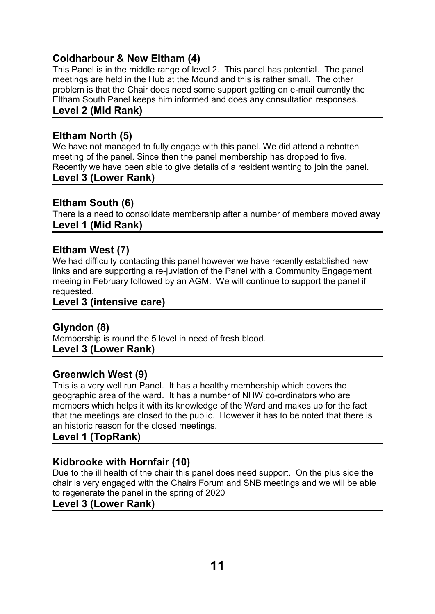# **Coldharbour & New Eltham (4)**

This Panel is in the middle range of level 2. This panel has potential. The panel meetings are held in the Hub at the Mound and this is rather small. The other problem is that the Chair does need some support getting on e-mail currently the Eltham South Panel keeps him informed and does any consultation responses. **Level 2 (Mid Rank)** 

# **Eltham North (5)**

We have not managed to fully engage with this panel. We did attend a rebotten meeting of the panel. Since then the panel membership has dropped to five. Recently we have been able to give details of a resident wanting to join the panel. **Level 3 (Lower Rank)** 

### **Eltham South (6)**

There is a need to consolidate membership after a number of members moved away **Level 1 (Mid Rank)** 

# **Eltham West (7)**

We had difficulty contacting this panel however we have recently established new links and are supporting a re-juviation of the Panel with a Community Engagement meeing in February followed by an AGM. We will continue to support the panel if requested.

### **Level 3 (intensive care)**

# **Glyndon (8)**

Membership is round the 5 level in need of fresh blood. **Level 3 (Lower Rank)** 

# **Greenwich West (9)**

This is a very well run Panel. It has a healthy membership which covers the geographic area of the ward. It has a number of NHW co-ordinators who are members which helps it with its knowledge of the Ward and makes up for the fact that the meetings are closed to the public. However it has to be noted that there is an historic reason for the closed meetings.

# **Level 1 (TopRank)**

# **Kidbrooke with Hornfair (10)**

Due to the ill health of the chair this panel does need support. On the plus side the chair is very engaged with the Chairs Forum and SNB meetings and we will be able to regenerate the panel in the spring of 2020

### **Level 3 (Lower Rank)**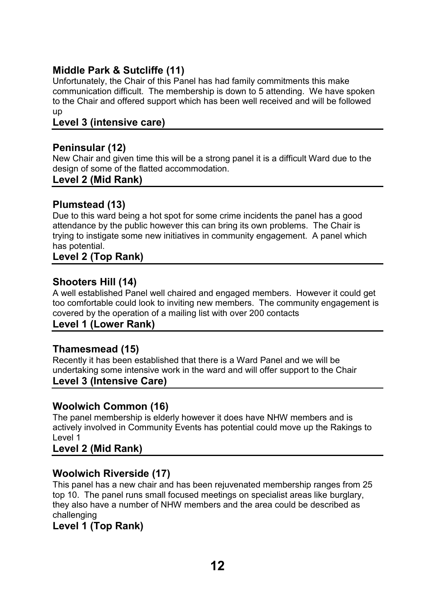# **Middle Park & Sutcliffe (11)**

Unfortunately, the Chair of this Panel has had family commitments this make communication difficult. The membership is down to 5 attending. We have spoken to the Chair and offered support which has been well received and will be followed up

# **Level 3 (intensive care)**

# **Peninsular (12)**

New Chair and given time this will be a strong panel it is a difficult Ward due to the design of some of the flatted accommodation.

### **Level 2 (Mid Rank)**

# **Plumstead (13)**

Due to this ward being a hot spot for some crime incidents the panel has a good attendance by the public however this can bring its own problems. The Chair is trying to instigate some new initiatives in community engagement. A panel which has potential.

### **Level 2 (Top Rank)**

### **Shooters Hill (14)**

A well established Panel well chaired and engaged members. However it could get too comfortable could look to inviting new members. The community engagement is covered by the operation of a mailing list with over 200 contacts

### **Level 1 (Lower Rank)**

# **Thamesmead (15)**

Recently it has been established that there is a Ward Panel and we will be undertaking some intensive work in the ward and will offer support to the Chair **Level 3 (Intensive Care)** 

# **Woolwich Common (16)**

The panel membership is elderly however it does have NHW members and is actively involved in Community Events has potential could move up the Rakings to Level 1

### **Level 2 (Mid Rank)**

# **Woolwich Riverside (17)**

This panel has a new chair and has been rejuvenated membership ranges from 25 top 10. The panel runs small focused meetings on specialist areas like burglary, they also have a number of NHW members and the area could be described as challenging

# **Level 1 (Top Rank)**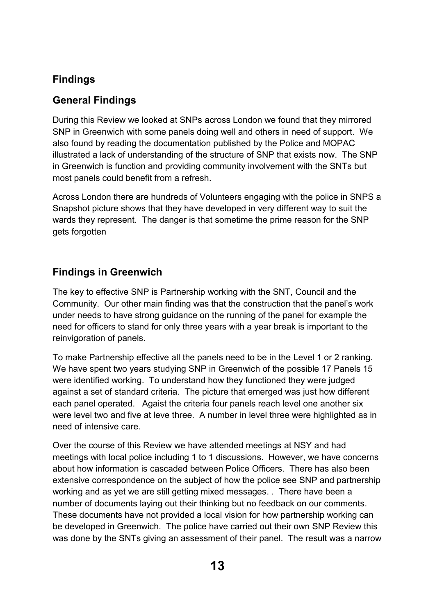# **Findings**

# **General Findings**

During this Review we looked at SNPs across London we found that they mirrored SNP in Greenwich with some panels doing well and others in need of support. We also found by reading the documentation published by the Police and MOPAC illustrated a lack of understanding of the structure of SNP that exists now. The SNP in Greenwich is function and providing community involvement with the SNTs but most panels could benefit from a refresh.

Across London there are hundreds of Volunteers engaging with the police in SNPS a Snapshot picture shows that they have developed in very different way to suit the wards they represent. The danger is that sometime the prime reason for the SNP gets forgotten

# **Findings in Greenwich**

The key to effective SNP is Partnership working with the SNT, Council and the Community. Our other main finding was that the construction that the panel's work under needs to have strong guidance on the running of the panel for example the need for officers to stand for only three years with a year break is important to the reinvigoration of panels.

To make Partnership effective all the panels need to be in the Level 1 or 2 ranking. We have spent two years studying SNP in Greenwich of the possible 17 Panels 15 were identified working. To understand how they functioned they were judged against a set of standard criteria. The picture that emerged was just how different each panel operated. Agaist the criteria four panels reach level one another six were level two and five at leve three. A number in level three were highlighted as in need of intensive care.

Over the course of this Review we have attended meetings at NSY and had meetings with local police including 1 to 1 discussions. However, we have concerns about how information is cascaded between Police Officers. There has also been extensive correspondence on the subject of how the police see SNP and partnership working and as yet we are still getting mixed messages. . There have been a number of documents laying out their thinking but no feedback on our comments. These documents have not provided a local vision for how partnership working can be developed in Greenwich. The police have carried out their own SNP Review this was done by the SNTs giving an assessment of their panel. The result was a narrow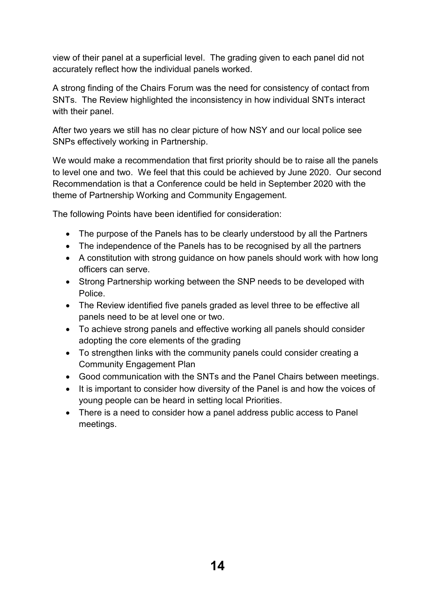view of their panel at a superficial level. The grading given to each panel did not accurately reflect how the individual panels worked.

A strong finding of the Chairs Forum was the need for consistency of contact from SNTs. The Review highlighted the inconsistency in how individual SNTs interact with their panel.

After two years we still has no clear picture of how NSY and our local police see SNPs effectively working in Partnership.

We would make a recommendation that first priority should be to raise all the panels to level one and two. We feel that this could be achieved by June 2020. Our second Recommendation is that a Conference could be held in September 2020 with the theme of Partnership Working and Community Engagement.

The following Points have been identified for consideration:

- The purpose of the Panels has to be clearly understood by all the Partners
- The independence of the Panels has to be recognised by all the partners
- A constitution with strong guidance on how panels should work with how long officers can serve.
- Strong Partnership working between the SNP needs to be developed with Police.
- The Review identified five panels graded as level three to be effective all panels need to be at level one or two.
- To achieve strong panels and effective working all panels should consider adopting the core elements of the grading
- To strengthen links with the community panels could consider creating a Community Engagement Plan
- Good communication with the SNTs and the Panel Chairs between meetings.
- It is important to consider how diversity of the Panel is and how the voices of young people can be heard in setting local Priorities.
- There is a need to consider how a panel address public access to Panel meetings.